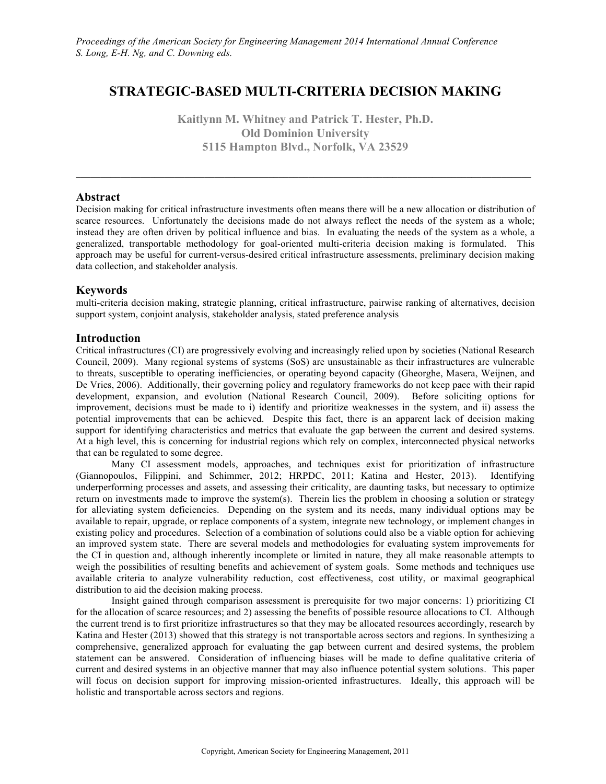# **STRATEGIC-BASED MULTI-CRITERIA DECISION MAKING**

**Kaitlynn M. Whitney and Patrick T. Hester, Ph.D. Old Dominion University 5115 Hampton Blvd., Norfolk, VA 23529**

 $\_$  , and the state of the state of the state of the state of the state of the state of the state of the state of the state of the state of the state of the state of the state of the state of the state of the state of the

# **Abstract**

Decision making for critical infrastructure investments often means there will be a new allocation or distribution of scarce resources. Unfortunately the decisions made do not always reflect the needs of the system as a whole; instead they are often driven by political influence and bias. In evaluating the needs of the system as a whole, a generalized, transportable methodology for goal-oriented multi-criteria decision making is formulated. This approach may be useful for current-versus-desired critical infrastructure assessments, preliminary decision making data collection, and stakeholder analysis.

# **Keywords**

multi-criteria decision making, strategic planning, critical infrastructure, pairwise ranking of alternatives, decision support system, conjoint analysis, stakeholder analysis, stated preference analysis

# **Introduction**

Critical infrastructures (CI) are progressively evolving and increasingly relied upon by societies (National Research Council, 2009). Many regional systems of systems (SoS) are unsustainable as their infrastructures are vulnerable to threats, susceptible to operating inefficiencies, or operating beyond capacity (Gheorghe, Masera, Weijnen, and De Vries, 2006). Additionally, their governing policy and regulatory frameworks do not keep pace with their rapid development, expansion, and evolution (National Research Council, 2009). Before soliciting options for improvement, decisions must be made to i) identify and prioritize weaknesses in the system, and ii) assess the potential improvements that can be achieved. Despite this fact, there is an apparent lack of decision making support for identifying characteristics and metrics that evaluate the gap between the current and desired systems. At a high level, this is concerning for industrial regions which rely on complex, interconnected physical networks that can be regulated to some degree.

Many CI assessment models, approaches, and techniques exist for prioritization of infrastructure (Giannopoulos, Filippini, and Schimmer, 2012; HRPDC, 2011; Katina and Hester, 2013). Identifying underperforming processes and assets, and assessing their criticality, are daunting tasks, but necessary to optimize return on investments made to improve the system(s). Therein lies the problem in choosing a solution or strategy for alleviating system deficiencies. Depending on the system and its needs, many individual options may be available to repair, upgrade, or replace components of a system, integrate new technology, or implement changes in existing policy and procedures. Selection of a combination of solutions could also be a viable option for achieving an improved system state. There are several models and methodologies for evaluating system improvements for the CI in question and, although inherently incomplete or limited in nature, they all make reasonable attempts to weigh the possibilities of resulting benefits and achievement of system goals. Some methods and techniques use available criteria to analyze vulnerability reduction, cost effectiveness, cost utility, or maximal geographical distribution to aid the decision making process.

Insight gained through comparison assessment is prerequisite for two major concerns: 1) prioritizing CI for the allocation of scarce resources; and 2) assessing the benefits of possible resource allocations to CI. Although the current trend is to first prioritize infrastructures so that they may be allocated resources accordingly, research by Katina and Hester (2013) showed that this strategy is not transportable across sectors and regions. In synthesizing a comprehensive, generalized approach for evaluating the gap between current and desired systems, the problem statement can be answered. Consideration of influencing biases will be made to define qualitative criteria of current and desired systems in an objective manner that may also influence potential system solutions. This paper will focus on decision support for improving mission-oriented infrastructures. Ideally, this approach will be holistic and transportable across sectors and regions.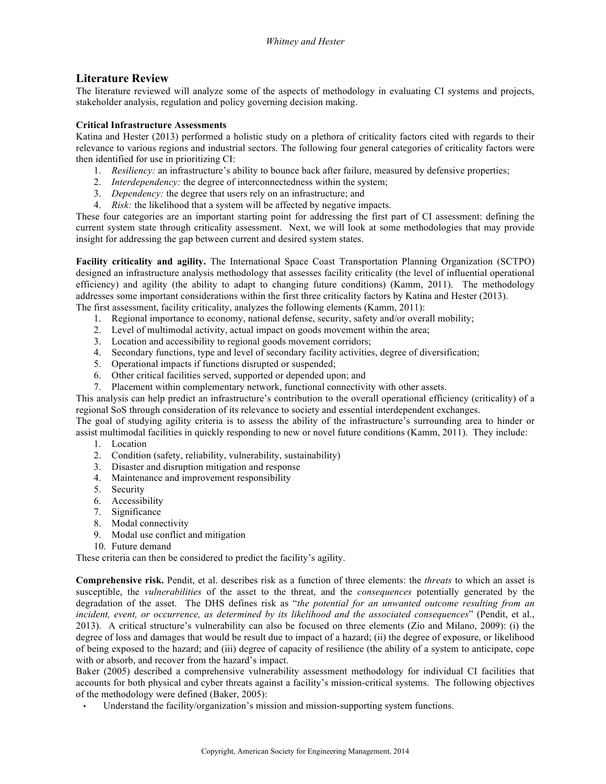# **Literature Review**

The literature reviewed will analyze some of the aspects of methodology in evaluating CI systems and projects, stakeholder analysis, regulation and policy governing decision making.

# **Critical Infrastructure Assessments**

Katina and Hester (2013) performed a holistic study on a plethora of criticality factors cited with regards to their relevance to various regions and industrial sectors. The following four general categories of criticality factors were then identified for use in prioritizing CI:

- 1. *Resiliency:* an infrastructure's ability to bounce back after failure, measured by defensive properties;
- 2. *Interdependency:* the degree of interconnectedness within the system;
- 3. *Dependency:* the degree that users rely on an infrastructure; and
- 4. *Risk:* the likelihood that a system will be affected by negative impacts.

These four categories are an important starting point for addressing the first part of CI assessment: defining the current system state through criticality assessment. Next, we will look at some methodologies that may provide insight for addressing the gap between current and desired system states.

**Facility criticality and agility.** The International Space Coast Transportation Planning Organization (SCTPO) designed an infrastructure analysis methodology that assesses facility criticality (the level of influential operational efficiency) and agility (the ability to adapt to changing future conditions) (Kamm, 2011). The methodology addresses some important considerations within the first three criticality factors by Katina and Hester (2013). The first assessment, facility criticality, analyzes the following elements (Kamm, 2011):

- 1. Regional importance to economy, national defense, security, safety and/or overall mobility;
- 2. Level of multimodal activity, actual impact on goods movement within the area;
- 3. Location and accessibility to regional goods movement corridors;
- 4. Secondary functions, type and level of secondary facility activities, degree of diversification;
- 5. Operational impacts if functions disrupted or suspended;
- 6. Other critical facilities served, supported or depended upon; and
- 7. Placement within complementary network, functional connectivity with other assets.

This analysis can help predict an infrastructure's contribution to the overall operational efficiency (criticality) of a regional SoS through consideration of its relevance to society and essential interdependent exchanges.

The goal of studying agility criteria is to assess the ability of the infrastructure's surrounding area to hinder or assist multimodal facilities in quickly responding to new or novel future conditions (Kamm, 2011). They include:

- 1. Location
- 2. Condition (safety, reliability, vulnerability, sustainability)
- 3. Disaster and disruption mitigation and response
- 4. Maintenance and improvement responsibility
- 5. Security
- 6. Accessibility
- 7. Significance
- 8. Modal connectivity
- 9. Modal use conflict and mitigation
- 10. Future demand

These criteria can then be considered to predict the facility's agility.

**Comprehensive risk.** Pendit, et al. describes risk as a function of three elements: the *threats* to which an asset is susceptible, the *vulnerabilities* of the asset to the threat, and the *consequences* potentially generated by the degradation of the asset. The DHS defines risk as "*the potential for an unwanted outcome resulting from an incident, event, or occurrence, as determined by its likelihood and the associated consequences*" (Pendit, et al., 2013). A critical structure's vulnerability can also be focused on three elements (Zio and Milano, 2009): (i) the degree of loss and damages that would be result due to impact of a hazard; (ii) the degree of exposure, or likelihood of being exposed to the hazard; and (iii) degree of capacity of resilience (the ability of a system to anticipate, cope with or absorb, and recover from the hazard's impact.

Baker (2005) described a comprehensive vulnerability assessment methodology for individual CI facilities that accounts for both physical and cyber threats against a facility's mission-critical systems. The following objectives of the methodology were defined (Baker, 2005):

Understand the facility/organization's mission and mission-supporting system functions.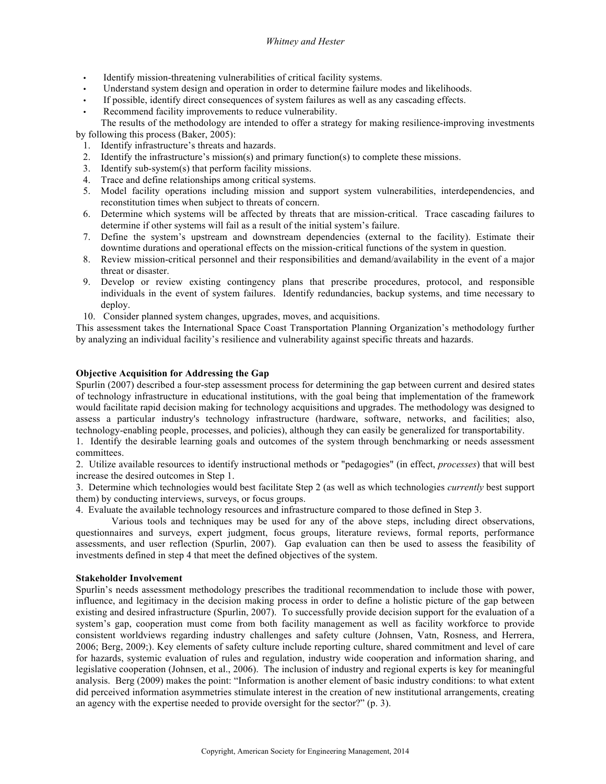# *Whitney and Hester*

- Identify mission-threatening vulnerabilities of critical facility systems.
- Understand system design and operation in order to determine failure modes and likelihoods.
- If possible, identify direct consequences of system failures as well as any cascading effects.
- Recommend facility improvements to reduce vulnerability.

The results of the methodology are intended to offer a strategy for making resilience-improving investments by following this process (Baker, 2005):

- 1. Identify infrastructure's threats and hazards.
- 2. Identify the infrastructure's mission(s) and primary function(s) to complete these missions.
- 3. Identify sub-system(s) that perform facility missions.
- 4. Trace and define relationships among critical systems.
- 5. Model facility operations including mission and support system vulnerabilities, interdependencies, and reconstitution times when subject to threats of concern.
- 6. Determine which systems will be affected by threats that are mission-critical. Trace cascading failures to determine if other systems will fail as a result of the initial system's failure.
- 7. Define the system's upstream and downstream dependencies (external to the facility). Estimate their downtime durations and operational effects on the mission-critical functions of the system in question.
- 8. Review mission-critical personnel and their responsibilities and demand/availability in the event of a major threat or disaster.
- 9. Develop or review existing contingency plans that prescribe procedures, protocol, and responsible individuals in the event of system failures. Identify redundancies, backup systems, and time necessary to deploy.
- 10. Consider planned system changes, upgrades, moves, and acquisitions.

This assessment takes the International Space Coast Transportation Planning Organization's methodology further by analyzing an individual facility's resilience and vulnerability against specific threats and hazards.

# **Objective Acquisition for Addressing the Gap**

Spurlin (2007) described a four-step assessment process for determining the gap between current and desired states of technology infrastructure in educational institutions, with the goal being that implementation of the framework would facilitate rapid decision making for technology acquisitions and upgrades. The methodology was designed to assess a particular industry's technology infrastructure (hardware, software, networks, and facilities; also, technology-enabling people, processes, and policies), although they can easily be generalized for transportability.

1. Identify the desirable learning goals and outcomes of the system through benchmarking or needs assessment committees.

2. Utilize available resources to identify instructional methods or "pedagogies" (in effect, *processes*) that will best increase the desired outcomes in Step 1.

3. Determine which technologies would best facilitate Step 2 (as well as which technologies *currently* best support them) by conducting interviews, surveys, or focus groups.

4. Evaluate the available technology resources and infrastructure compared to those defined in Step 3.

Various tools and techniques may be used for any of the above steps, including direct observations, questionnaires and surveys, expert judgment, focus groups, literature reviews, formal reports, performance assessments, and user reflection (Spurlin, 2007). Gap evaluation can then be used to assess the feasibility of investments defined in step 4 that meet the defined objectives of the system.

#### **Stakeholder Involvement**

Spurlin's needs assessment methodology prescribes the traditional recommendation to include those with power, influence, and legitimacy in the decision making process in order to define a holistic picture of the gap between existing and desired infrastructure (Spurlin, 2007). To successfully provide decision support for the evaluation of a system's gap, cooperation must come from both facility management as well as facility workforce to provide consistent worldviews regarding industry challenges and safety culture (Johnsen, Vatn, Rosness, and Herrera, 2006; Berg, 2009;). Key elements of safety culture include reporting culture, shared commitment and level of care for hazards, systemic evaluation of rules and regulation, industry wide cooperation and information sharing, and legislative cooperation (Johnsen, et al., 2006). The inclusion of industry and regional experts is key for meaningful analysis. Berg (2009) makes the point: "Information is another element of basic industry conditions: to what extent did perceived information asymmetries stimulate interest in the creation of new institutional arrangements, creating an agency with the expertise needed to provide oversight for the sector?" (p. 3).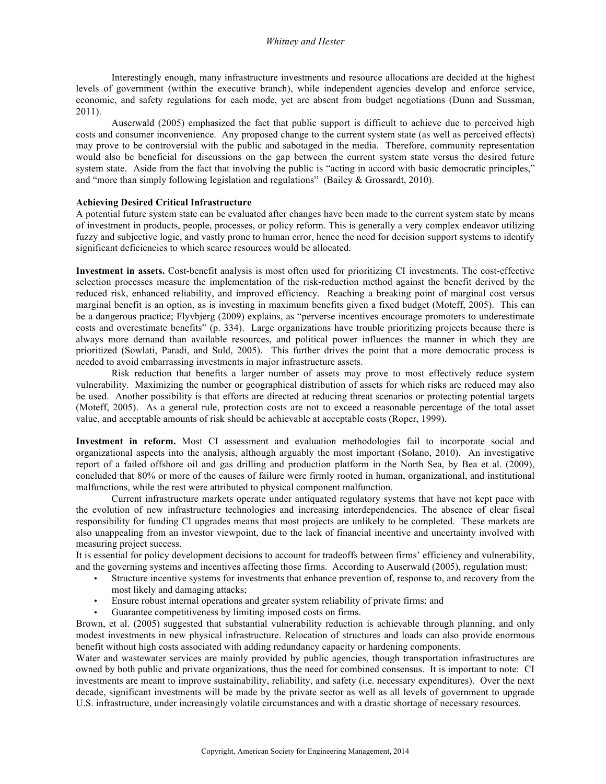Interestingly enough, many infrastructure investments and resource allocations are decided at the highest levels of government (within the executive branch), while independent agencies develop and enforce service, economic, and safety regulations for each mode, yet are absent from budget negotiations (Dunn and Sussman, 2011).

Auserwald (2005) emphasized the fact that public support is difficult to achieve due to perceived high costs and consumer inconvenience. Any proposed change to the current system state (as well as perceived effects) may prove to be controversial with the public and sabotaged in the media. Therefore, community representation would also be beneficial for discussions on the gap between the current system state versus the desired future system state. Aside from the fact that involving the public is "acting in accord with basic democratic principles," and "more than simply following legislation and regulations" (Bailey & Grossardt, 2010).

#### **Achieving Desired Critical Infrastructure**

A potential future system state can be evaluated after changes have been made to the current system state by means of investment in products, people, processes, or policy reform. This is generally a very complex endeavor utilizing fuzzy and subjective logic, and vastly prone to human error, hence the need for decision support systems to identify significant deficiencies to which scarce resources would be allocated.

**Investment in assets.** Cost-benefit analysis is most often used for prioritizing CI investments. The cost-effective selection processes measure the implementation of the risk-reduction method against the benefit derived by the reduced risk, enhanced reliability, and improved efficiency. Reaching a breaking point of marginal cost versus marginal benefit is an option, as is investing in maximum benefits given a fixed budget (Moteff, 2005). This can be a dangerous practice; Flyvbjerg (2009) explains, as "perverse incentives encourage promoters to underestimate costs and overestimate benefits" (p. 334). Large organizations have trouble prioritizing projects because there is always more demand than available resources, and political power influences the manner in which they are prioritized (Sowlati, Paradi, and Suld, 2005). This further drives the point that a more democratic process is needed to avoid embarrassing investments in major infrastructure assets.

Risk reduction that benefits a larger number of assets may prove to most effectively reduce system vulnerability. Maximizing the number or geographical distribution of assets for which risks are reduced may also be used. Another possibility is that efforts are directed at reducing threat scenarios or protecting potential targets (Moteff, 2005). As a general rule, protection costs are not to exceed a reasonable percentage of the total asset value, and acceptable amounts of risk should be achievable at acceptable costs (Roper, 1999).

**Investment in reform.** Most CI assessment and evaluation methodologies fail to incorporate social and organizational aspects into the analysis, although arguably the most important (Solano, 2010). An investigative report of a failed offshore oil and gas drilling and production platform in the North Sea, by Bea et al. (2009), concluded that 80% or more of the causes of failure were firmly rooted in human, organizational, and institutional malfunctions, while the rest were attributed to physical component malfunction.

Current infrastructure markets operate under antiquated regulatory systems that have not kept pace with the evolution of new infrastructure technologies and increasing interdependencies. The absence of clear fiscal responsibility for funding CI upgrades means that most projects are unlikely to be completed. These markets are also unappealing from an investor viewpoint, due to the lack of financial incentive and uncertainty involved with measuring project success.

It is essential for policy development decisions to account for tradeoffs between firms' efficiency and vulnerability, and the governing systems and incentives affecting those firms. According to Auserwald (2005), regulation must:

- Structure incentive systems for investments that enhance prevention of, response to, and recovery from the most likely and damaging attacks;
- Ensure robust internal operations and greater system reliability of private firms; and
- Guarantee competitiveness by limiting imposed costs on firms.

Brown, et al. (2005) suggested that substantial vulnerability reduction is achievable through planning, and only modest investments in new physical infrastructure. Relocation of structures and loads can also provide enormous benefit without high costs associated with adding redundancy capacity or hardening components.

Water and wastewater services are mainly provided by public agencies, though transportation infrastructures are owned by both public and private organizations, thus the need for combined consensus. It is important to note: CI investments are meant to improve sustainability, reliability, and safety (i.e. necessary expenditures). Over the next decade, significant investments will be made by the private sector as well as all levels of government to upgrade U.S. infrastructure, under increasingly volatile circumstances and with a drastic shortage of necessary resources.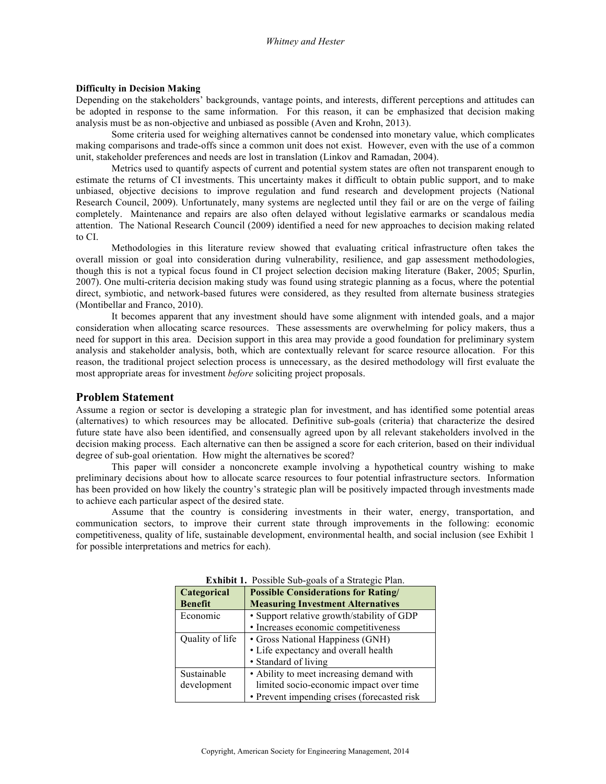#### **Difficulty in Decision Making**

Depending on the stakeholders' backgrounds, vantage points, and interests, different perceptions and attitudes can be adopted in response to the same information. For this reason, it can be emphasized that decision making analysis must be as non-objective and unbiased as possible (Aven and Krohn, 2013).

Some criteria used for weighing alternatives cannot be condensed into monetary value, which complicates making comparisons and trade-offs since a common unit does not exist. However, even with the use of a common unit, stakeholder preferences and needs are lost in translation (Linkov and Ramadan, 2004).

Metrics used to quantify aspects of current and potential system states are often not transparent enough to estimate the returns of CI investments. This uncertainty makes it difficult to obtain public support, and to make unbiased, objective decisions to improve regulation and fund research and development projects (National Research Council, 2009). Unfortunately, many systems are neglected until they fail or are on the verge of failing completely. Maintenance and repairs are also often delayed without legislative earmarks or scandalous media attention. The National Research Council (2009) identified a need for new approaches to decision making related to CI.

Methodologies in this literature review showed that evaluating critical infrastructure often takes the overall mission or goal into consideration during vulnerability, resilience, and gap assessment methodologies, though this is not a typical focus found in CI project selection decision making literature (Baker, 2005; Spurlin, 2007). One multi-criteria decision making study was found using strategic planning as a focus, where the potential direct, symbiotic, and network-based futures were considered, as they resulted from alternate business strategies (Montibellar and Franco, 2010).

It becomes apparent that any investment should have some alignment with intended goals, and a major consideration when allocating scarce resources. These assessments are overwhelming for policy makers, thus a need for support in this area. Decision support in this area may provide a good foundation for preliminary system analysis and stakeholder analysis, both, which are contextually relevant for scarce resource allocation. For this reason, the traditional project selection process is unnecessary, as the desired methodology will first evaluate the most appropriate areas for investment *before* soliciting project proposals.

# **Problem Statement**

Assume a region or sector is developing a strategic plan for investment, and has identified some potential areas (alternatives) to which resources may be allocated. Definitive sub-goals (criteria) that characterize the desired future state have also been identified, and consensually agreed upon by all relevant stakeholders involved in the decision making process. Each alternative can then be assigned a score for each criterion, based on their individual degree of sub-goal orientation. How might the alternatives be scored?

This paper will consider a nonconcrete example involving a hypothetical country wishing to make preliminary decisions about how to allocate scarce resources to four potential infrastructure sectors. Information has been provided on how likely the country's strategic plan will be positively impacted through investments made to achieve each particular aspect of the desired state.

Assume that the country is considering investments in their water, energy, transportation, and communication sectors, to improve their current state through improvements in the following: economic competitiveness, quality of life, sustainable development, environmental health, and social inclusion (see Exhibit 1 for possible interpretations and metrics for each).

| <b>Categorical</b> | <b>Possible Considerations for Rating/</b>  |  |  |  |  |
|--------------------|---------------------------------------------|--|--|--|--|
| <b>Benefit</b>     | <b>Measuring Investment Alternatives</b>    |  |  |  |  |
| Economic           | • Support relative growth/stability of GDP  |  |  |  |  |
|                    | • Increases economic competitiveness        |  |  |  |  |
| Quality of life    | • Gross National Happiness (GNH)            |  |  |  |  |
|                    | • Life expectancy and overall health        |  |  |  |  |
|                    | • Standard of living                        |  |  |  |  |
| Sustainable        | • Ability to meet increasing demand with    |  |  |  |  |
| development        | limited socio-economic impact over time     |  |  |  |  |
|                    | • Prevent impending crises (forecasted risk |  |  |  |  |

**Exhibit 1.** Possible Sub-goals of a Strategic Plan.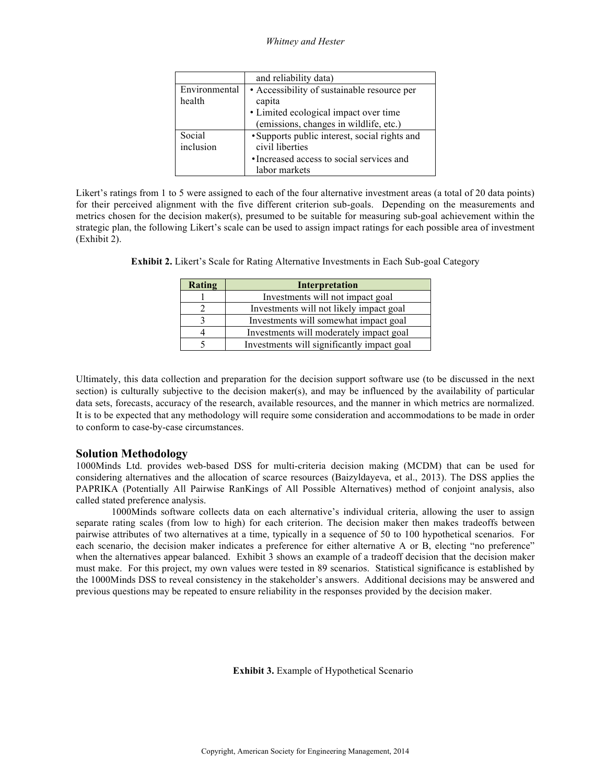*Whitney and Hester*

|                         | and reliability data)                                                                                                          |
|-------------------------|--------------------------------------------------------------------------------------------------------------------------------|
| Environmental<br>health | • Accessibility of sustainable resource per<br>capita                                                                          |
|                         | • Limited ecological impact over time<br>(emissions, changes in wildlife, etc.)                                                |
| Social<br>inclusion     | • Supports public interest, social rights and<br>civil liberties<br>• Increased access to social services and<br>labor markets |

Likert's ratings from 1 to 5 were assigned to each of the four alternative investment areas (a total of 20 data points) for their perceived alignment with the five different criterion sub-goals. Depending on the measurements and metrics chosen for the decision maker(s), presumed to be suitable for measuring sub-goal achievement within the strategic plan, the following Likert's scale can be used to assign impact ratings for each possible area of investment (Exhibit 2).

| <b>Rating</b> | Interpretation                             |
|---------------|--------------------------------------------|
|               | Investments will not impact goal           |
|               | Investments will not likely impact goal    |
|               | Investments will somewhat impact goal      |
|               | Investments will moderately impact goal    |
|               | Investments will significantly impact goal |

**Exhibit 2.** Likert's Scale for Rating Alternative Investments in Each Sub-goal Category

Ultimately, this data collection and preparation for the decision support software use (to be discussed in the next section) is culturally subjective to the decision maker(s), and may be influenced by the availability of particular data sets, forecasts, accuracy of the research, available resources, and the manner in which metrics are normalized. It is to be expected that any methodology will require some consideration and accommodations to be made in order to conform to case-by-case circumstances.

# **Solution Methodology**

1000Minds Ltd. provides web-based DSS for multi-criteria decision making (MCDM) that can be used for considering alternatives and the allocation of scarce resources (Baizyldayeva, et al., 2013). The DSS applies the PAPRIKA (Potentially All Pairwise RanKings of All Possible Alternatives) method of conjoint analysis, also called stated preference analysis.

1000Minds software collects data on each alternative's individual criteria, allowing the user to assign separate rating scales (from low to high) for each criterion. The decision maker then makes tradeoffs between pairwise attributes of two alternatives at a time, typically in a sequence of 50 to 100 hypothetical scenarios. For each scenario, the decision maker indicates a preference for either alternative A or B, electing "no preference" when the alternatives appear balanced. Exhibit 3 shows an example of a tradeoff decision that the decision maker must make. For this project, my own values were tested in 89 scenarios. Statistical significance is established by the 1000Minds DSS to reveal consistency in the stakeholder's answers. Additional decisions may be answered and previous questions may be repeated to ensure reliability in the responses provided by the decision maker.

**Exhibit 3.** Example of Hypothetical Scenario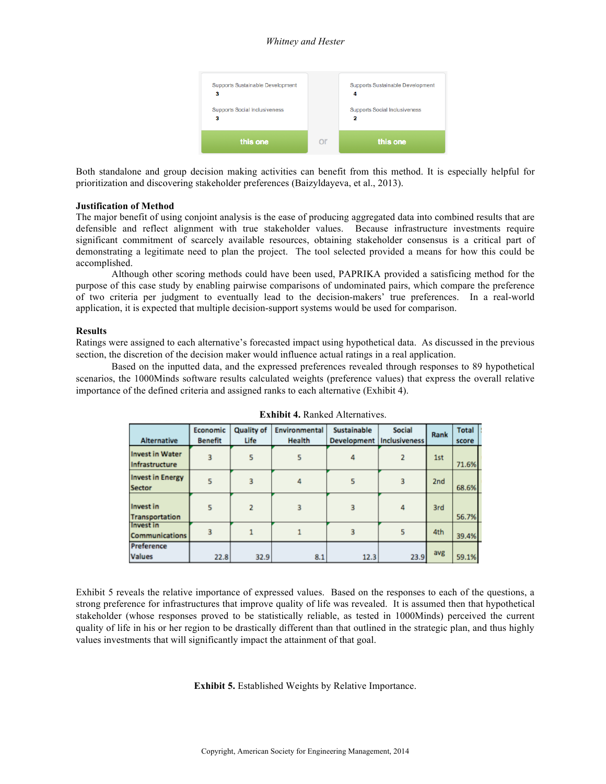### *Whitney and Hester*



Both standalone and group decision making activities can benefit from this method. It is especially helpful for prioritization and discovering stakeholder preferences (Baizyldayeva, et al., 2013).

#### **Justification of Method**

The major benefit of using conjoint analysis is the ease of producing aggregated data into combined results that are defensible and reflect alignment with true stakeholder values. Because infrastructure investments require significant commitment of scarcely available resources, obtaining stakeholder consensus is a critical part of demonstrating a legitimate need to plan the project. The tool selected provided a means for how this could be accomplished.

Although other scoring methods could have been used, PAPRIKA provided a satisficing method for the purpose of this case study by enabling pairwise comparisons of undominated pairs, which compare the preference of two criteria per judgment to eventually lead to the decision-makers' true preferences. In a real-world application, it is expected that multiple decision-support systems would be used for comparison.

#### **Results**

Ratings were assigned to each alternative's forecasted impact using hypothetical data. As discussed in the previous section, the discretion of the decision maker would influence actual ratings in a real application.

Based on the inputted data, and the expressed preferences revealed through responses to 89 hypothetical scenarios, the 1000Minds software results calculated weights (preference values) that express the overall relative importance of the defined criteria and assigned ranks to each alternative (Exhibit 4).

|                                           | Economic       | <b>Quality of</b> | Environmental | <b>Sustainable</b>          | <b>Social</b> | Rank | <b>Total</b> |  |
|-------------------------------------------|----------------|-------------------|---------------|-----------------------------|---------------|------|--------------|--|
| <b>Alternative</b>                        | <b>Benefit</b> | Life              | Health        | Development   Inclusiveness |               |      | score        |  |
| <b>Invest in Water</b><br>Infrastructure  |                | 5                 |               |                             |               | 1st  | 71.6%        |  |
| <b>Invest in Energy</b><br><b>Sector</b>  | 5              | 3                 | 4             | 5                           | з             | 2nd  | 68.6%        |  |
| Invest in<br><b>Transportation</b>        | 5              |                   |               |                             | 4             | 3rd  | 56.7%        |  |
| <b>Invest in</b><br><b>Communications</b> |                |                   |               |                             | 5             | 4th  | 39.4%        |  |
| Preference                                |                |                   |               |                             |               |      |              |  |
| <b>Values</b>                             | 22.8           | 32.9              | 8.1           | 12.3                        | 23.9          | avg  | 59.1%        |  |

Exhibit 5 reveals the relative importance of expressed values. Based on the responses to each of the questions, a strong preference for infrastructures that improve quality of life was revealed. It is assumed then that hypothetical stakeholder (whose responses proved to be statistically reliable, as tested in 1000Minds) perceived the current quality of life in his or her region to be drastically different than that outlined in the strategic plan, and thus highly values investments that will significantly impact the attainment of that goal.

**Exhibit 5.** Established Weights by Relative Importance.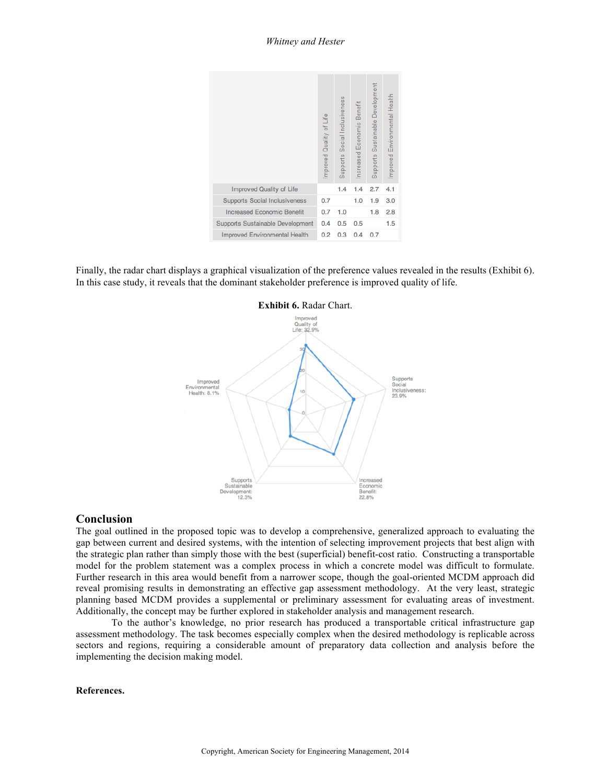

Finally, the radar chart displays a graphical visualization of the preference values revealed in the results (Exhibit 6). In this case study, it reveals that the dominant stakeholder preference is improved quality of life.



### **Conclusion**

The goal outlined in the proposed topic was to develop a comprehensive, generalized approach to evaluating the gap between current and desired systems, with the intention of selecting improvement projects that best align with the strategic plan rather than simply those with the best (superficial) benefit-cost ratio. Constructing a transportable model for the problem statement was a complex process in which a concrete model was difficult to formulate. Further research in this area would benefit from a narrower scope, though the goal-oriented MCDM approach did reveal promising results in demonstrating an effective gap assessment methodology. At the very least, strategic planning based MCDM provides a supplemental or preliminary assessment for evaluating areas of investment. Additionally, the concept may be further explored in stakeholder analysis and management research.

To the author's knowledge, no prior research has produced a transportable critical infrastructure gap assessment methodology. The task becomes especially complex when the desired methodology is replicable across sectors and regions, requiring a considerable amount of preparatory data collection and analysis before the implementing the decision making model.

### **References.**